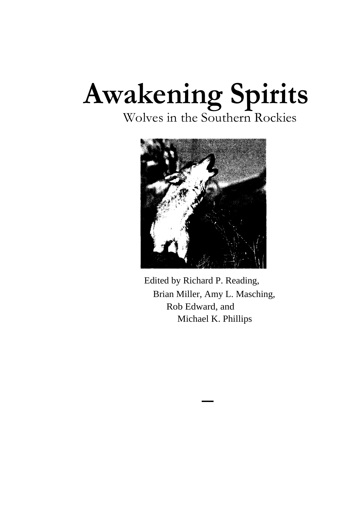# **Awakening Spirits**  Wolves in the Southern Rockies



Edited by Richard P. Reading, Brian Miller, Amy L. Masching, Rob Edward, and Michael K. Phillips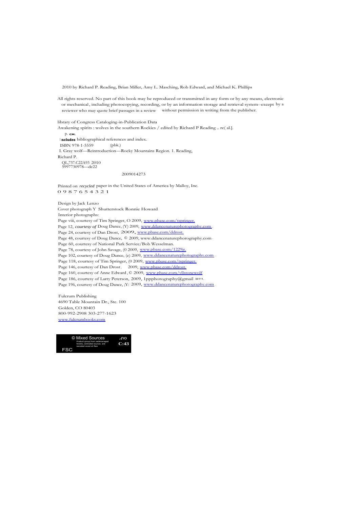2010 by Richard P. Reading, Brian Miller, Amy L. Masching, Rob Edward, and Michael K. Phillips

All rights reserved. No part of this book may be reproduced or transmitted in any form or by any means, electronic or mechanical , including photocopying, recording, or by an information storage and retrieval system--except by a reviewer who may quote brief passages in a review without permission in writing from the publisher.

library of Congress Cataloging-in-Publication Data

Awakening spirits : wolves in the southern Rockies / edited by Richard P Reading .. re( al.]. p. **CM.** 

<sup>I</sup> **ncludes** bibliographical references and index. ISBN 978-1-5559 (pbk.) I. Gray wolf—Reintroduction—Rocky Mountains Region. 1. Reading, Richard P. QL,737.C22A93 2010 5997730978—dc22

2009014273

Printed on *recycled* paper in the United States of America by Malloy, Inc. 0 9 8 7 6 5 4 3 2 1

Design by Jack Lenzo Cover photograph Y , Shutterstock Ronnie Howard Interior photographs: Page viii, courtesy of Tim Springer, O 2009, [www.pbase.com/tspringer.](http://www.pbase.com/tspringer.)  Page 12, *courtesy of* Doug Dance, (Y) 2009, [www.ddancenaturephotography.com](http://www.ddancenaturephotography.com) Page 24, courtesy of Dan Drost, 2009, www.pbase.com/ddrost. Page 48, courtesy of Doug Dance, *©* 2009, www.ddancenaturephorography.com . Page 60, courtesy of National Park Service/Bob Wesselman. Page 78, courtesy of John Savage, (0 2009, [www.pbase.com/1229jr.](http://www.pbase.com/1229jr.)  Page 102, courtesy of Doug Dance, (e) 2009, [www.ddancenaturephotography.com](http://www.ddancenaturephotography.com) Page 118, courtesy of Tim Springer, (0 2009, [www.pbase.com/tspringer.](http://www.pbase.com/tspringer.)  Page 146, courtesy of Dan Drost, 2009, www.pbase.com/ddrost. Page 160, courtesy of Anne Edward, © 2009, [www.pbase.com/yllstonewolf](http://www.pbase.com/yllstonewolf). Page 186, courtesy of Larry Peterson, 2009, 1ppphotography@gmail .00111. Page 196, courtesy of Doug Dance, ;Y: 2009, [www.ddancenaturephorography.com](http://www.ddancenaturephorography.com)

Fulcrum Publishing 4690 Table Mountain Dr., Ste. 100 Golden, CO 80403 800-992-2908 303-277-1623 [www.fulcrumbooks.com](http://www.fulcrumbooks.com) 

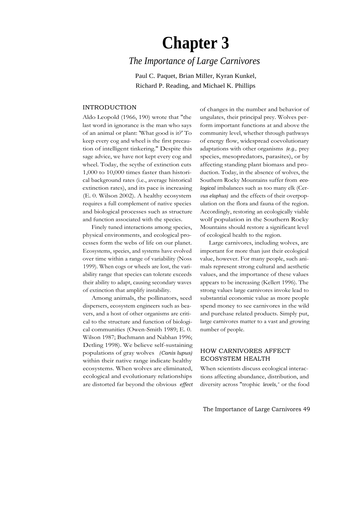## **Chapter 3**

### *The Importance of Large Carnivores*

Paul C. Paquet, Brian Miller, Kyran Kunkel, Richard P. Reading, and Michael K. Phillips

#### INTRODUCTION

Aldo Leopold (1966, 190) wrote that "the last word in ignorance is the man who says of an animal or plant: 'What good is it?' To keep every cog and wheel is the first precaution of intelligent tinkering." Despite this sage advice, we have not kept every cog and wheel. Today, the scythe of extinction cuts 1,000 to 10,000 times faster than historical background rates (i.e., average historical extinction rates), and its pace is increasing (E. 0. Wilson 2002). A healthy ecosystem requires a full complement of native species and biological processes such as structure and function associated with the species.

Finely tuned interactions among species, physical environments, and ecological processes form the webs of life on our planet. Ecosystems, species, and systems have evolved over time within a range of variability (Noss 1999). When cogs or wheels are lost, the variability range that species can tolerate exceeds their ability to adapt, causing secondary waves of extinction that amplify instability.

Among animals, the pollinators, seed dispersers, ecosystem engineers such as beavers, and a host of other organisms are critical to the structure and function of biological communities (Owen-Smith 1989; E. 0. Wilson 1987; Buchmann and Nabhan 1996; Detling 1998). We believe self-sustaining populations of gray wolves *(Canis lupus)*  within their native range indicate healthy ecosystems. When wolves are eliminated, ecological and evolutionary relationships are distorted far beyond the obvious *effect*  of changes in the number and behavior of ungulates, their principal prey. Wolves perform important functions at and above the community level, whether through pathways of energy flow, widespread coevolutionary adaptations with other organisms *(e.g.,* prey species, mesopredators, parasites), or by affecting standing plant biomass and production. Today, in the absence of wolves, the Southern Rocky Mountains suffer from *ecological* imbalances such as too many elk (Cer*vus elaphus)* and the effects of their overpopulation on the flora and fauna of the region. Accordingly, restoring an ecologically viable wolf population in the Southern Rocky Mountains should restore a significant level of ecological health to the region.

Large carnivores, including wolves, are important for more than just their ecological value, however. For many people, such animals represent strong cultural and aesthetic values, and the importance of these values appears to be increasing (Kellert 1996). The strong values large carnivores invoke lead to substantial economic value as more people spend money to see carnivores in the wild and purchase related products. Simply put, large carnivores matter to a vast and growing number of people.

#### HOW CARNIVORES AFFECT ECOSYSTEM HEALTH

When scientists discuss ecological interactions affecting abundance, distribution, and diversity across "trophic *levels,"* or the food

The Importance of Large Carnivores 49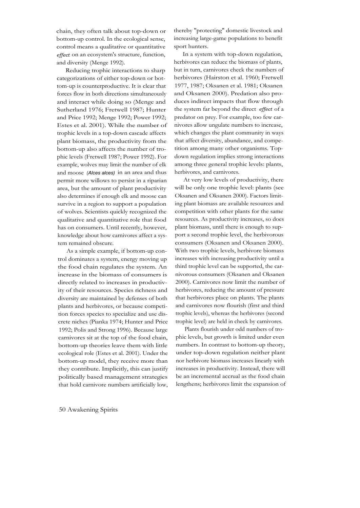chain, they often talk about top-down or bottom-up control. In the ecological sense, control means a qualitative or quantitative *effect* on an ecosystem's structure, function, and diversity (Menge 1992).

Reducing trophic interactions to sharp categorizations of either top-down or bottom-up is counterproductive. It is clear that forces flow in both directions simultaneously and interact while doing so (Menge and Sutherland 1976; Fretwell 1987; Hunter and Price 1992; Menge 1992; Power 1992; Estes et al. 2001). While the number of trophic levels in a top-down cascade affects plant biomass, the productivity from the bottom-up also affects the number of trophic levels (Fretwell 1987; Power 1992). For example, wolves may limit the number of elk and moose *(Alces alces)* in an area and thus permit more willows to persist in a riparian area, but the amount of plant productivity also determines if enough elk and moose can survive in a region to support a population of wolves. Scientists quickly recognized the qualitative and quantitative role that food has on consumers. Until recently, however, knowledge about how carnivores affect a system remained obscure.

As a simple example, if bottom-up control dominates a system, energy moving up the food chain regulates the system. An increase in the biomass of consumers is directly related to increases in productivity of their resources. Species richness and diversity are maintained by defenses of both plants and herbivores, or because competition forces species to specialize and use discrete niches (Pianka 1974; Hunter and Price 1992; Polis and Strong 1996). Because large carnivores sit at the top of the food chain, bottom-up theories leave them with little ecological role (Estes et al. 2001). Under the bottom-up model, they receive more than they contribute. Implicitly, this can justify politically based management strategies that hold carnivore numbers artificially low,

thereby "protecting" domestic livestock and increasing large-game populations to benefit sport hunters.

In a system with top-down regulation, herbivores can reduce the biomass of plants, but in turn, carnivores check the numbers of herbivores (Hairston et al. 1960; Fretwell 1977, 1987; Oksanen et al. 1981; Oksanen and Oksanen 2000). Predation also produces indirect impacts that flow through the system far beyond the direct *effect* of a predator on prey. For example, too few carnivores allow ungulate numbers to increase, which changes the plant community in ways that affect diversity, abundance, and competition among many other organisms. Topdown regulation implies strong interactions among three general trophic levels: plants, herbivores, and carnivores.

At very low levels of productivity, there will be only one trophic level: plants (see Oksanen and Oksanen 2000). Factors limiting plant biomass are available resources and competition with other plants for the same resources. As productivity increases, so does plant biomass, until there is enough to support a second trophic level, the herbivorous consumers (Oksanen and Oksanen 2000). With two trophic levels, herbivore biomass increases with increasing productivity until a third trophic level can be supported, the carnivorous consumers (Oksanen and Oksanen 2000). Carnivores now limit the number of herbivores, reducing the amount of pressure that herbivores place on plants. The plants and carnivores now flourish (first and third trophic levels), whereas the herbivores (second trophic level) are held in check by carnivores.

Plants flourish under odd numbers of trophic levels, but growth is limited under even numbers. In contrast to bottom-up theory, under top-down regulation neither plant nor herbivore biomass increases linearly with increases in productivity. Instead, there will be an incremental accrual as the food chain lengthens; herbivores limit the expansion of

50 Awakening Spirits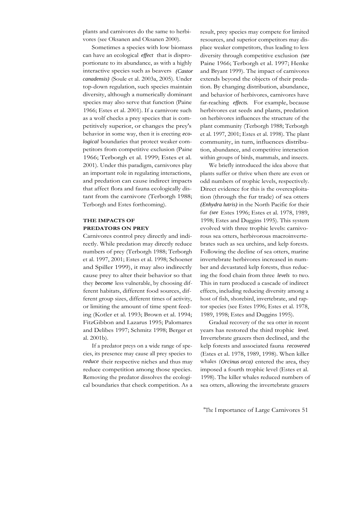plants and carnivores do the same to herbivores (see Oksanen and Oksanen 2000).

Sometimes a species with low biomass can have an ecological *effect* that is disproportionate to its abundance, as with a highly interactive species such as beavers *(Castor canadensis)* (Soule et al. 2003a, 2005). Under top-down regulation, such species maintain diversity, although a numerically dominant species may also serve that function (Paine 1966; Estes et al. 2001). If a carnivore such as a wolf checks a prey species that is competitively superior, or changes the prey's behavior in some way, then it is erecting *ecological* boundaries that protect weaker competitors from competitive exclusion (Paine 1966; Terborgh et al. 1999; Estes et al. 2001). Under this paradigm, carnivores play an important role in regulating interactions, and predation can cause indirect impacts that affect flora and fauna ecologically distant from the carnivore (Terborgh 1988; Terborgh and Estes forthcoming).

#### **THE IMPACTS OF PREDATORS ON PREY**

Carnivores control prey directly and indirectly. While predation may directly reduce numbers of prey (Terborgh 1988; Terborgh et al. 1997, 2001; Estes et al. 1998; Schoener and Spiller 1999), it may also indirectly cause prey to alter their behavior so that they *become* less vulnerable, by choosing different habitats, different food sources, different group sizes, different times of activity, or limiting the amount of time spent feeding (Kotler et al. 1993; Brown et al. 1994; FitzGibbon and Lazarus 1995; Palomares and Delibes 1997; Schmitz 1998; Berger et al. 2001b).

If a predator preys on a wide range of species, its presence may cause all prey species to *reduce* their respective niches and thus may reduce competition among those species. Removing the predator dissolves the ecological boundaries that check competition. As a

result, prey species may compete for limited resources, and superior competitors may displace weaker competitors, thus leading to less diversity through competitive exclusion *(see*  Paine 1966; Terborgh et al. 1997; Henke and Bryant 1999). The impact of carnivores extends beyond the objects of their predation. By changing distribution, abundance, and behavior of herbivores, carnivores have far-reaching *effects.* For example, because herbivores eat seeds and plants, predation on herbivores influences the structure of the plant community (Terborgh 1988; Terborgh et al. 1997, 2001; Estes et al. 1998). The plant community, in turn, influences distribution, abundance, and competitive interaction within groups of birds, mammals, and insects.

We briefly introduced the idea above that plants suffer or thrive when there are even or odd numbers of trophic levels, respectively. Direct evidence for this is the overexploitation (through the fur trade) of sea otters *(Enhydra lutris)* in the North Pacific for their fur *(see* Estes 1996; Estes et al. 1978, 1989, 1998; Estes and Duggins 1995). This system evolved with three trophic levels: carnivorous sea otters, herbivorous macroinvertebrates such as sea urchins, and kelp forests. Following the decline of sea otters, marine invertebrate herbivores increased in number and devastated kelp forests, thus reducing the food chain from three *levels* to two. This in turn produced a cascade of indirect effects, including reducing diversity among a host of fish, shorebird, invertebrate, and raptor species (see Estes 1996; Estes et al. 1978, 1989, 1998; Estes and Duggins 1995).

Gradual recovery of the sea otter in recent years has restored the third trophic *level.*  Invertebrate grazers then declined, and the kelp forests and associated fauna *recovered*  (Estes et al. 1978, 1989, 1998). When killer whales *(Orcinus orca)* entered the area, they imposed a fourth trophic level (Estes et al. 1998). The killer whales reduced numbers of sea otters, allowing the invertebrate grazers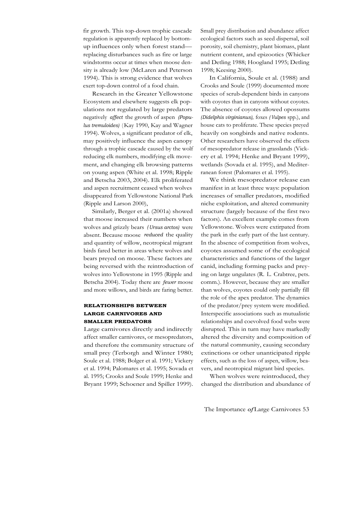fir growth. This top-down trophic cascade regulation is apparently replaced by bottomup influences only when forest stand replacing disturbances such as fire or large windstorms occur at times when moose density is already low (McLaren and Peterson 1994). This is strong evidence that wolves exert top-down control of a food chain.

Research in the Greater Yellowstone Ecosystem and elsewhere suggests elk populations not regulated by large predators negatively *affect* the growth of aspen *(Populus tremuloides)* (Kay 1990, Kay and Wagner 1994). Wolves, a significant predator of elk, may positively influence the aspen canopy through a trophic cascade caused by the wolf reducing elk numbers, modifying elk movement, and changing elk browsing patterns on young aspen (White et al. 1998; Ripple and Betscha 2003, 2004). Elk proliferated and aspen recruitment ceased when wolves disappeared from Yellowstone National Park (Ripple and Larson 2000),

Similarly, Berger et al. (2001a) showed that moose increased their numbers when wolves and grizzly bears *( Ursus arctos)* were absent. Because moose *reduced* the quality and quantity of willow, neotropical migrant birds fared better in areas where wolves and bears preyed on moose. These factors are being reversed with the reintroduction of wolves into Yellowstone in 1995 (Ripple and Betscha 2004). Today there are *fewer* moose and more willows, and birds are faring better.

#### **RELATIONSHIPS BETWEEN LARGE CARNIVORES AND SMALLER PREDATORS**

Large carnivores directly and indirectly affect smaller carnivores, or mesopredators, and therefore the community structure of small prey (Terborgh and Winter 1980; Soule et al. 1988; Bolger et al. 1991; Vickery et al. 1994; Palomares et al. 1995; Sovada et al. 1995; Crooks and Soule 1999; Henke and Bryant 1999; Schoener and Spiller 1999).

Small prey distribution and abundance affect ecological factors such as seed dispersal, soil porosity, soil chemistry, plant biomass, plant nutrient content, and epizootics (Whicker and Detling 1988; Hoogland 1995; Detling 1998; Keesing 2000).

In California, Soule et al. (1988) and Crooks and Soule (1999) documented more species of scrub-dependent birds in canyons with coyotes than in canyons without coyotes. The absence of coyotes allowed opossums *(Didelphis virginianus),* foxes *( Vulpes* spp.), and house cats to proliferate. These species preyed heavily on songbirds and native rodents. Other researchers have observed the effects of mesopredator release in grasslands (Vickery et al. 1994; Henke and Bryant 1999), wetlands (Sovada et al. 1995), and Mediterranean forest (Palomares et al. 1995).

We think mesopredator release can manifest in at least three ways: population increases of smaller predators, modified niche exploitation, and altered community structure (largely because of the first two factors). An excellent example comes from Yellowstone. Wolves were extirpated from the park in the early part of the last century. In the absence of competition from wolves, coyotes assumed some of the ecological characteristics and functions of the larger canid, including forming packs and preying on large ungulates (R. L. Crabtree, pets. comm.). However, because they are smaller than wolves, coyotes could only partially fill the role of the apex predator. The dynamics of the predator/prey system were modified. Interspecific associations such as mutualistic relationships and coevolved food webs were disrupted. This in turn may have markedly altered the diversity and composition of the natural community, causing secondary extinctions or other unanticipated ripple effects, such as the loss of aspen, willow, beavers, and neotropical migrant bird species.

When wolves were reintroduced, they changed the distribution and abundance of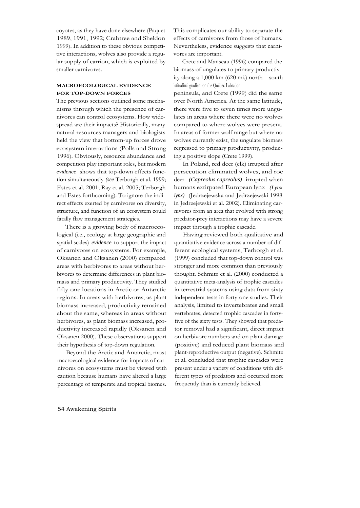coyotes, as they have done elsewhere (Paquet 1989, 1991, 1992; Crabtree and Sheldon 1999). In addition to these obvious competitive interactions, wolves also provide a regular supply of carrion, which is exploited by smaller carnivores.

#### **MACROECOLOGICAL EVIDENCE FOR TOP-DOWN FORCES**

The previous sections outlined some mechanisms through which the presence of carnivores can control ecosystems. How widespread are their impacts? Historically, many natural resources managers and biologists held the view that bottom-up forces drove ecosystem interactions (Polls and Strong 1996). Obviously, resource abundance and competition play important roles, but modern *evidence* shows that top-down effects function simultaneously *(see* Terborgh et al. 1999; Estes et al. 2001; Ray et al. 2005; Terborgh and Estes forthcoming). To ignore the indirect effects exerted by carnivores on diversity, structure, and function of an ecosystem could fatally flaw management strategies.

There is a growing body of macroecological (i.e., ecology at large geographic and spatial scales) *evidence* to support the impact of carnivores on ecosystems. For example, Oksanen and Oksanen (2000) compared areas with herbivores to areas without herbivores to determine differences in plant biomass and primary productivity. They studied fifty-one locations in Arctic or Antarctic regions. In areas with herbivores, as plant biomass increased, productivity remained about the same, whereas in areas without herbivores, as plant biomass increased, productivity increased rapidly (Oksanen and Oksanen 2000). These observations support their hypothesis of top-down regulation.

Beyond the Arctic and Antarctic, most macroecological evidence for impacts of carnivores on ecosystems must be viewed with caution because humans have altered a large percentage of temperate and tropical biomes.

This complicates our ability to separate the effects of carnivores from those of humans. Nevertheless, evidence suggests that carnivores are important.

Crete and Manseau (1996) compared the biomass of ungulates to primary productivity along a 1,000 km (620 mi.) north—south latitudinal gradient on the Québec-Labrador

peninsula, and Crete (1999) did the same over North America. At the same latitude, there were five to seven times more ungulates in areas where there were no wolves compared to where wolves were present. In areas of former wolf range but where no wolves currently exist, the ungulate biomass regressed to primary productivity, producing a positive slope (Crete 1999).

In Poland, red deer (elk) irrupted after persecution eliminated wolves, and roe deer *(Capreolus capreolus)* irrupted when humans extirpated European lynx *(Lynx lynx)* (Jedrzejewska and Jedrzejewski 1998 in Jedrzejewski et al. 2002). Eliminating carnivores from an area that evolved with strong predator-prey interactions may have a severe impact through a trophic cascade.

Having reviewed both qualitative and quantitative evidence across a number of different ecological systems, Terborgh et al. (1999) concluded that top-down control was stronger and more common than previously thought. Schmitz et al. (2000) conducted a quantitative meta-analysis of trophic cascades in terrestrial systems using data from sixty independent tests in forty-one studies. Their analysis, limited to invertebrates and small vertebrates, detected trophic cascades in fortyfive of the sixty tests. They showed that predator removal had a significant, direct impact on herbivore numbers and on plant damage (positive) and reduced plant biomass and plant-reproductive output (negative). Schmitz et al. concluded that trophic cascades were present under a variety of conditions with different types of predators and occurred more frequently than is currently believed.

54 Awakening Spirits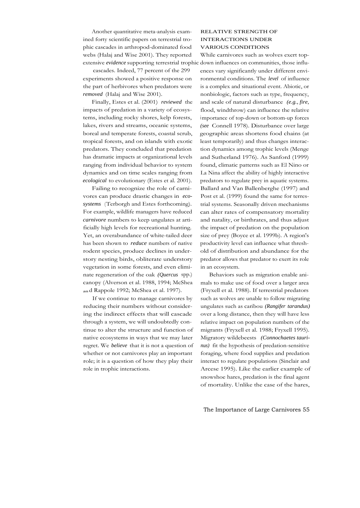Another quantitative meta-analysis examined forty scientific papers on terrestrial trophic cascades in arthropod-dominated food webs (Halaj and Wise 2001). They reported

cascades. Indeed, 77 percent of the 299 experiments showed a positive response on the part of herbivores when predators were *removed* (Halaj and Wise 2001).

Finally, Estes et al. (2001) *reviewed* the impacts of predation in a variety of ecosystems, including rocky shores, kelp forests, lakes, rivers and streams, oceanic systems, boreal and temperate forests, coastal scrub, tropical forests, and on islands with exotic predators. They concluded that predation has dramatic impacts at organizational levels ranging from individual behavior to system dynamics and on time scales ranging from *ecological* to evolutionary (Estes et al. 2001).

Failing to recognize the role of carnivores can produce drastic changes in *ecosystems* (Terborgh and Estes forthcoming). For example, wildlife managers have reduced *carnivore* numbers to keep ungulates at artificially high levels for recreational hunting. Yet, an overabundance of white-tailed deer has been shown to *reduce* numbers of native rodent species, produce declines in understory nesting birds, obliterate understory vegetation in some forests, and even eliminate regeneration of the oak *(Quercus* spp.) canopy (Alverson et al. 1988, 1994; McShea an d Rappole 1992; McShea et al. 1997).

If we continue to manage carnivores by reducing their numbers without considering the indirect effects that will cascade through a system, we will undoubtedly continue to alter the structure and function of native ecosystems in ways that we may later regret. We *believe* that it is not a question of whether or not carnivores play an important role; it is a question of how they play their role in trophic interactions.

#### RELATIVE STRENGTH OF INTERACTIONS UNDER VARIOUS CONDITIONS

extensive evidence supporting terrestrial trophic down influences on communities, those influ-While carnivores such as wolves exert topences vary significantly under different environmental conditions. The *level* of influence is a complex and situational event. Abiotic, or nonbiologic, factors such as type, frequency, and scale of natural disturbance *(e.g., fire,*  flood, windthrow) can influence the relative importance of top-down or bottom-up forces *(see* Connell 1978). Disturbance over large geographic areas shortens food chains (at least temporarily) and thus changes interaction dynamics among trophic levels (Menge and Sutherland 1976). As Sanford (1999) found, climatic patterns such as El Nino or La Nina affect the ability of highly interactive predators to regulate prey in aquatic systems. Ballard and Van Ballenberghe (1997) and Post et al. (1999) found the same for terrestrial systems. Seasonally driven mechanisms can alter rates of compensatory mortality and natality, or birthrates, and thus adjust the impact of predation on the population size of prey (Boyce et al. 1999b). A region's productivity level can influence what threshold of distribution and abundance for the predator allows that predator to exert its role in an ecosystem.

> Behaviors such as migration enable animals to make use of food over a larger area (Fryxell et al. 1988). If terrestrial predators such as wolves are unable to follow migrating ungulates such as caribou *(Rangifer tarandus)*  over a long distance, then they will have less relative impact on population numbers of the migrants (Fryxell et al. 1988; Fryxell 1995). Migratory wildebeests *(Connochaetes taurinus)* fit the hypothesis of predation-sensitive foraging, where food supplies and predation interact to regulate populations (Sinclair and Arcese 1995). Like the earlier example of snowshoe hares, predation is the final agent of mortality. Unlike the case of the hares,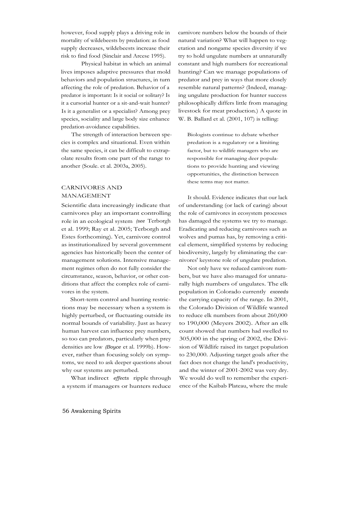however, food supply plays a driving role in mortality of wildebeests by predation: as food supply decreases, wildebeests increase their risk to find food (Sinclair and Arcese 1995).

Physical habitat in which an animal lives imposes adaptive pressures that mold behaviors and population structures, in turn affecting the role of predation. Behavior of a predator is important: Is it social or solitary? Is it a cursorial hunter or a sit-and-wait hunter? Is it a generalist or a specialist? Among prey species, sociality and large body size enhance predation-avoidance capabilities.

The strength of interaction between species is complex and situational. Even within the same species, it can be difficult to extrapolate results from one part of the range to another (Soule. et al. 2003a, 2005).

#### CARNIVORES AND MANAGEMENT

Scientific data increasingly indicate that carnivores play an important controlling role in an ecological system *(see* Terborgh et al. 1999; Ray et al. 2005; Terborgh and Estes forthcoming). Yet, carnivore control as institutionalized by several government agencies has historically been the center of management solutions. Intensive management regimes often do not fully consider the circumstance, season, behavior, or other conditions that affect the complex role of carnivores in the system.

Short-term control and hunting restrictions may be necessary when a system is highly perturbed, or fluctuating outside its normal bounds of variability. Just as heavy human harvest can influence prey numbers, so too can predators, particularly when prey densities are low *(Boyce* et al. 1999b). However, rather than focusing solely on symptoms, we need to ask deeper questions about why our systems are perturbed.

What indirect *effects* ripple through a system if managers or hunters reduce

carnivore numbers below the bounds of their natural variation? What will happen to vegetation and nongame species diversity if we try to hold ungulate numbers at unnaturally constant and high numbers for recreational hunting? Can we manage populations of predator and prey in ways that more closely resemble natural patterns? (Indeed, managing ungulate production for hunter success philosophically differs little from managing livestock for meat production.) A quote in W. B. Ballard et al. (2001, 107) is telling:

Biologists continue to debate whether predation is a regulatory or a limiting factor, but to wildlife managers who are responsible for managing deer populations to provide hunting and viewing opportunities, the distinction between these terms may not matter.

It should. Evidence indicates that our lack of understanding (or lack of caring) about the role of carnivores in ecosystem processes has damaged the systems we try to manage. Eradicating and reducing carnivores such as wolves and pumas has, by removing a critical element, simplified systems by reducing biodiversity, largely by eliminating the carnivores' keystone role of ungulate predation.

Not only have we reduced carnivore numbers, but we have also managed for unnaturally high numbers of ungulates. The elk population in Colorado currently *exceeds*  the carrying capacity of the range. In 2001, the Colorado Division of Wildlife wanted to reduce elk numbers from about 260,000 to 190,000 (Meyers 2002). After an elk count showed that numbers had swelled to 305,000 in the spring of 2002, the Division of Wildlife raised its target population to 230,000. Adjusting target goals after the fact does not change the land's productivity, and the winter of 2001-2002 was very dry. We would do well to remember the experience of the Kaibab Plateau, where the mule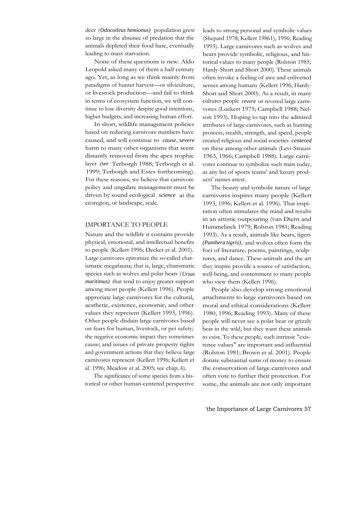deer *(Odocoileus hemionus)* population grew so large in the absence of predation that the animals depleted their food base, eventually leading to mass starvation.

None of these questions is new. Aldo Leopold asked many of them a half century ago. Yet, as long as we think mainly from paradigms of hunter harvest—or silviculture, or livestock production—and fail to think in terms of ecosystem function, we will continue to lose diversity despite good intentions, higher budgets, and increasing human effort.

In short, wildlife management policies based on reducing carnivore numbers have caused, and will continue to *cause, severe*  harm to many other organisms that seem distantly removed from the apex trophic layer *(see* Terborgh 1988; Terborgh et al. 1999; Terborgh and Estes forthcoming). For these reasons, we believe that carnivore policy and ungulate management must be driven by sound ecological *science* at the ecoregion, or landscape, scale.

#### IMPORTANCE TO PEOPLE

Nature and the wildlife it contains provide physical, emotional, and intellectual benefits to people (Kellert 1996; Decker et al. 2001). Large carnivores epitomize the so-called charismatic megafauna; that is, large, charismatic species such as wolves and polar bears *( Ursus maritimus)* that tend to enjoy greater support among most people (Kellert 1996). People appreciate large carnivores for the cultural, aesthetic, existence, economic, and other values they represent (Kellert 1993, 1996). Other people disdain large carnivores based on fears for human, livestock, or pet safety; the negative economic impact they sometimes cause; and issues of private property rights and government actions that they believe large carnivores represent (Kellert 1996; Kellert et al. 1996; Meadow et al. 2005; see chap. 6).

The significance of some species from a historical or other human-centered perspective

leads to strong personal and symbolic values (Shepard 1978; Kellert 19861), 1996; Reading 1993). Large carnivores such as wolves and bears provide symbolic, religious, and historical values to many people (Rolston 1985; Hardy-Short and Short 2000). These animals often invoke a feeling of awe and enlivened senses among humans (Kellert 1996; Hardy-Short and Short 2000). As a result, in many cultures people *revere* or revered large carnivores (Luckert 1975; Campbell 1988; Nelson 1993). Hoping to tap into the admired attributes of large carnivores, such as hunting prowess, stealth, strength, and speed, people created religious and social societies *centered*  on these among other animals (Levi-Strauss 1963, 1966; Campbell 1988). Large carnivores continue to symbolize such traits today, as any list of sports teams' and luxury products' names attest.

The beauty and symbolic nature of large carnivores inspires many people (Kellert 1993, 1996; Kellert et al. 1996). That inspiration often stimulates the mind and results in an artistic outpouring (van Diern and Hummelinck 1979; Rolston 1981; Reading 1993). As a result, animals like bears, tigers (Panthera tigris), and wolves often form the foci of literature, poems, paintings, sculptures, and dance. These animals and the art they inspire provide a source of satisfaction, well-being, and contentment to many people who view them (Kellert 1996).

People also develop strong emotional attachments to large carnivores based on moral and ethical considerations (Kellert 1980, 1996; Reading 1993). Many of these people will never see a polar bear or grizzly bear in the wild, but they want these animals to exist. To these people, such intrinsic "existence values" are important and influential (Rolston 1981; Brown et al. 2001). People donate substantial sums of money to ensure the conservation of large carnivores and often vote to further their protection. For some, the animals are not only important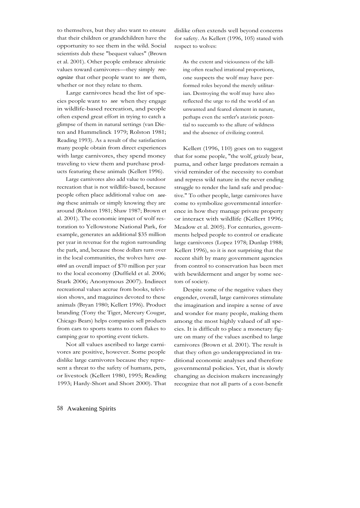to themselves, but they also want to ensure that their children or grandchildren have the opportunity to see them in the wild. Social scientists dub these "bequest values" (Brown et al. 2001). Other people embrace altruistic values toward carnivores—they simply *recognize* that other people want to *see* them, whether or not they relate to them.

Large carnivores head the list of species people want to *see* when they engage in wildlife-based recreation, and people often expend great effort in trying to catch a glimpse of them in natural settings (van Dieten and Hummelinck 1979; Rolston 1981; Reading 1993). As a result of the satisfaction many people obtain from direct experiences with large carnivores, they spend money traveling to view them and purchase products featuring these animals (Kellert 1996).

Large carnivores also add value to outdoor recreation that is not wildlife-based, because people often place additional value on *seeing* these animals or simply knowing they are around (Rolston 1981; Shaw 1987; Brown et al. 2001). The economic impact of wolf restoration to Yellowstone National Park, for example, generates an additional \$35 million per year in revenue for the region surrounding the park, and, because those dollars turn over in the local communities, the wolves have *created* an overall impact of \$70 million per year to the local economy (Duffield et al. 2006; Stark 2006; Anonymous 2007). Indirect recreational values accrue from books, television shows, and magazines devoted to these animals (Bryan 1980; Kellert 1996). Product branding (Tony the Tiger, Mercury Cougar, Chicago Bears) helps companies sell products from cars to sports teams to corn flakes to camping gear to sporting event tickets.

Not all values ascribed to large carnivores are positive, however. Some people dislike large carnivores because they represent a threat to the safety of humans, pets, or livestock (Kellert 1980, 1995; Reading 1993; Hardy-Short and Short 2000). That dislike often extends well beyond concerns for safety. As Kellert (1996, 105) stated with respect to wolves:

As the extent and viciousness of the killing often reached irrational proportions, one suspects the wolf may have performed roles beyond the merely utilitarian. Destroying the wolf may have also reflected the urge to rid the world of an unwanted and feared element in nature, perhaps even the settler's atavistic potential to succumb to the allure of wildness and the absence of civilizing control.

Kellert (1996, 110) goes on to suggest that for some people, "the wolf, grizzly bear, puma, and other large predators remain a vivid reminder of the necessity to combat and repress wild nature in the never ending struggle to render the land safe and productive." To other people, large carnivores have come to symbolize governmental interference in how they manage private property or interact with wildlife (Kellert 1996; Meadow et al. 2005). For centuries, governments helped people to control or eradicate large carnivores (Lopez 1978; Dunlap 1988; Kellert 1996), so it is not surprising that the recent shift by many government agencies from control to conservation has been met with bewilderment and anger by some sectors of society.

Despite some of the negative values they engender, overall, large carnivores stimulate the imagination and inspire a sense of awe and wonder for many people, making them among the most highly valued of all species. It is difficult to place a monetary figure on many of the values ascribed to large carnivores (Brown et al. 2001). The result is that they often go underappreciated in traditional economic analyses and therefore governmental policies. Yet, that is slowly changing as decision makers increasingly recognize that not all parts of a cost-benefit

58 Awakening Spirits